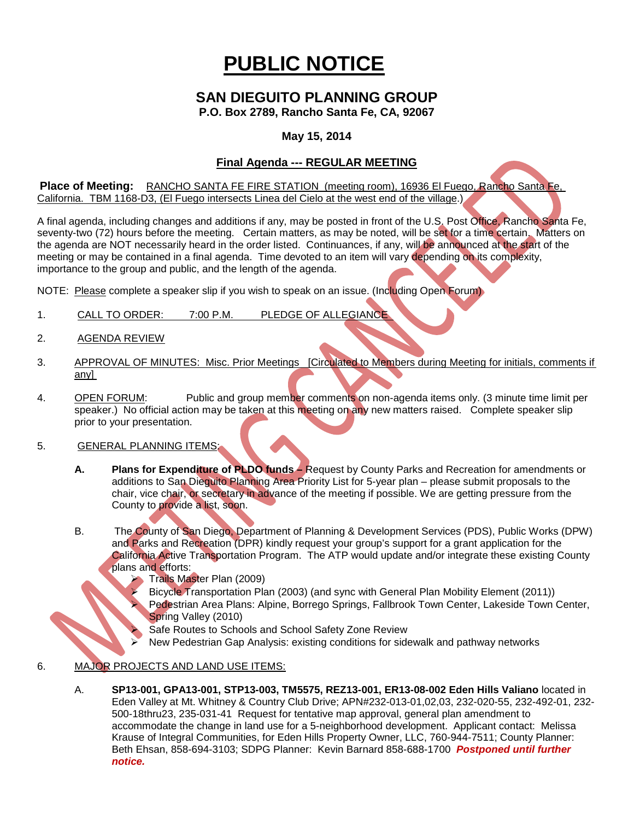# **PUBLIC NOTICE**

# **SAN DIEGUITO PLANNING GROUP**

**P.O. Box 2789, Rancho Santa Fe, CA, 92067**

### **May 15, 2014**

## **Final Agenda --- REGULAR MEETING**

**Place of Meeting:** RANCHO SANTA FE FIRE STATION (meeting room), 16936 El Fuego, Rancho Santa Fe, California. TBM 1168-D3, (El Fuego intersects Linea del Cielo at the west end of the village.)

A final agenda, including changes and additions if any, may be posted in front of the U.S. Post Office, Rancho Santa Fe, seventy-two (72) hours before the meeting. Certain matters, as may be noted, will be set for a time certain. Matters on the agenda are NOT necessarily heard in the order listed. Continuances, if any, will be announced at the start of the meeting or may be contained in a final agenda. Time devoted to an item will vary depending on its complexity, importance to the group and public, and the length of the agenda.

NOTE: Please complete a speaker slip if you wish to speak on an issue. (Including Open Forum)

- 1. CALL TO ORDER: 7:00 P.M. PLEDGE OF ALLEGIANCE
- 2. AGENDA REVIEW
- 3. APPROVAL OF MINUTES: Misc. Prior Meetings [Circulated to Members during Meeting for initials, comments if any]
- 4. OPEN FORUM: Public and group member comments on non-agenda items only. (3 minute time limit per speaker.) No official action may be taken at this meeting on any new matters raised. Complete speaker slip prior to your presentation.

#### 5. GENERAL PLANNING ITEMS:

- **A. Plans for Expenditure of PLDO funds –** Request by County Parks and Recreation for amendments or additions to San Diequito Planning Area Priority List for 5-year plan - please submit proposals to the chair, vice chair, or secretary in advance of the meeting if possible. We are getting pressure from the County to provide a list, soon.
- B. The County of San Diego, Department of Planning & Development Services (PDS), Public Works (DPW) and Parks and Recreation (DPR) kindly request your group's support for a grant application for the California Active Transportation Program. The ATP would update and/or integrate these existing County plans and efforts:
	- Trails Master Plan (2009)
	- Bicycle Transportation Plan (2003) (and sync with General Plan Mobility Element (2011))
	- Pedestrian Area Plans: Alpine, Borrego Springs, Fallbrook Town Center, Lakeside Town Center, Spring Valley (2010)
	- Safe Routes to Schools and School Safety Zone Review
	- New Pedestrian Gap Analysis: existing conditions for sidewalk and pathway networks

#### 6. MAJOR PROJECTS AND LAND USE ITEMS:

A. **SP13-001, GPA13-001, STP13-003, TM5575, REZ13-001, ER13-08-002 Eden Hills Valiano** located in Eden Valley at Mt. Whitney & Country Club Drive; APN#232-013-01,02,03, 232-020-55, 232-492-01, 232- 500-18thru23, 235-031-41 Request for tentative map approval, general plan amendment to accommodate the change in land use for a 5-neighborhood development. Applicant contact: Melissa Krause of Integral Communities, for Eden Hills Property Owner, LLC, 760-944-7511; County Planner: Beth Ehsan, 858-694-3103; SDPG Planner: Kevin Barnard 858-688-1700 *Postponed until further notice.*